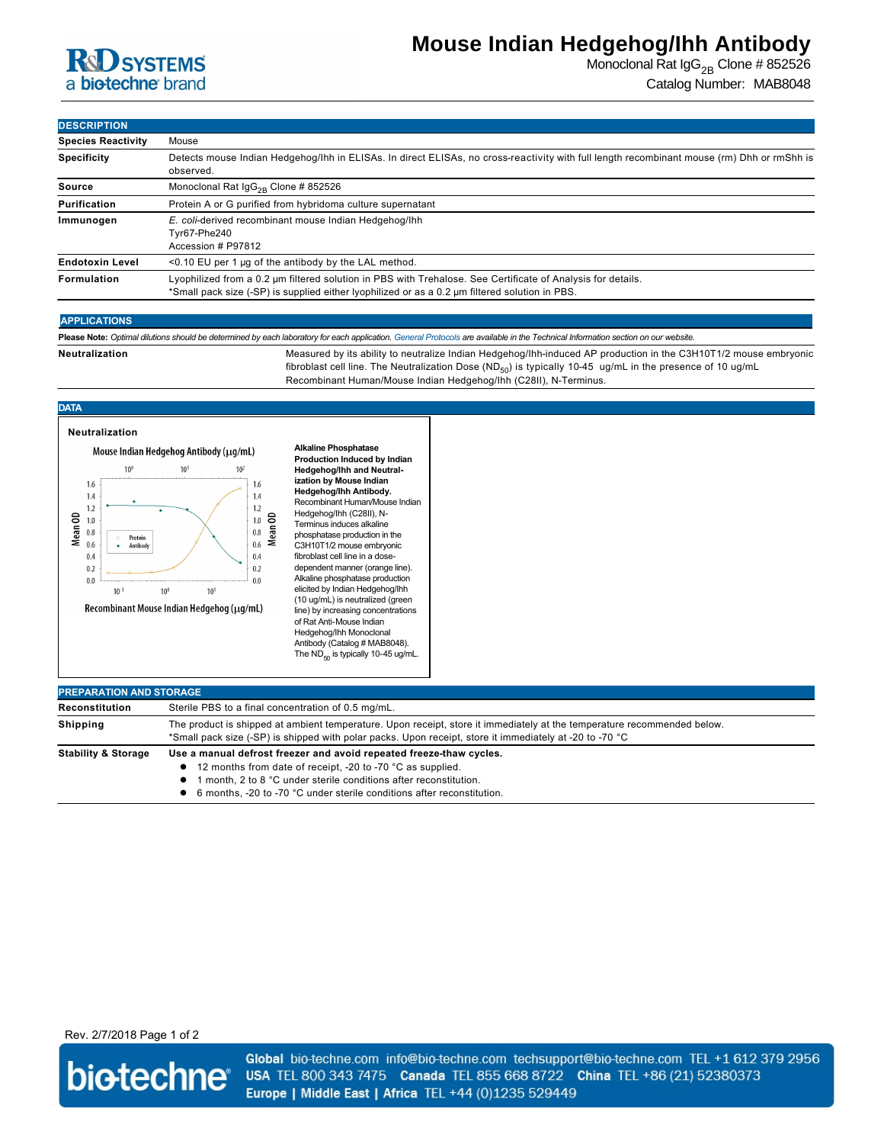

# **Mouse Indian Hedgehog/Ihh Antibody**

Monoclonal Rat  $\lg G_{2B}$  Clone # 852526 Catalog Number: MAB8048

### **DESCRIPTION**

| --------                  |                                                                                                                                                                                                               |  |
|---------------------------|---------------------------------------------------------------------------------------------------------------------------------------------------------------------------------------------------------------|--|
| <b>Species Reactivity</b> | Mouse                                                                                                                                                                                                         |  |
| <b>Specificity</b>        | Detects mouse Indian Hedgehog/Ihh in ELISAs. In direct ELISAs, no cross-reactivity with full length recombinant mouse (rm) Dhh or rmShh is<br>observed.                                                       |  |
| Source                    | Monoclonal Rat $\lg G_{2R}$ Clone # 852526                                                                                                                                                                    |  |
| Purification              | Protein A or G purified from hybridoma culture supernatant                                                                                                                                                    |  |
| Immunogen                 | E. coli-derived recombinant mouse Indian Hedgehog/Ihh<br>Tvr67-Phe240<br>Accession # P97812                                                                                                                   |  |
| <b>Endotoxin Level</b>    | $<$ 0.10 EU per 1 µg of the antibody by the LAL method.                                                                                                                                                       |  |
| <b>Formulation</b>        | Lyophilized from a 0.2 µm filtered solution in PBS with Trehalose. See Certificate of Analysis for details.<br>*Small pack size (-SP) is supplied either lyophilized or as a 0.2 µm filtered solution in PBS. |  |
|                           |                                                                                                                                                                                                               |  |

#### **APPLICATIONS**

**Please Note:** *Optimal dilutions should be determined by each laboratory for each application. [General Protocols](http://www.rndsystems.com/resources/protocols-troubleshooting-guides) are available in the Technical Information section on our website.*

Neutralization **Measured by its ability to neutralize Indian Hedgehog/Ihh-induced AP production in the C3H10T1/2 mouse embryonic** 

fibroblast cell line. The Neutralization Dose  $(\text{ND}_{50})$  is typically 10-45 ug/mL in the presence of 10 ug/mL Recombinant Human/Mouse Indian Hedgehog/Ihh (C28II), N-Terminus.

## **DATA**



**Alkaline Phosphatase Production Induced by Indian Hedgehog/Ihh and Neutralization by Mouse Indian Hedgehog/Ihh Antibody.**  Recombinant Human/Mouse Indian Hedgehog/Ihh (C28II), N-Terminus induces alkaline phosphatase production in the C3H10T1/2 mouse embryonic fibroblast cell line in a dosedependent manner (orange line). Alkaline phosphatase production elicited by Indian Hedgehog/Ihh (10 ug/mL) is neutralized (green line) by increasing concentrations of Rat Anti-Mouse Indian Hedgehog/Ihh Monoclonal Antibody (Catalog # MAB8048). The  $ND_{50}$  is typically 10-45 ug/mL.

| <b>PREPARATION AND STORAGE</b> |                                                                                                                                                                                                                                                                                    |
|--------------------------------|------------------------------------------------------------------------------------------------------------------------------------------------------------------------------------------------------------------------------------------------------------------------------------|
| Reconstitution                 | Sterile PBS to a final concentration of 0.5 mg/mL.                                                                                                                                                                                                                                 |
| <b>Shipping</b>                | The product is shipped at ambient temperature. Upon receipt, store it immediately at the temperature recommended below.<br>*Small pack size (-SP) is shipped with polar packs. Upon receipt, store it immediately at -20 to -70 °C                                                 |
| <b>Stability &amp; Storage</b> | Use a manual defrost freezer and avoid repeated freeze-thaw cycles.<br>• 12 months from date of receipt, -20 to -70 °C as supplied.<br>month, 2 to 8 °C under sterile conditions after reconstitution.<br>• 6 months, -20 to -70 °C under sterile conditions after reconstitution. |

## Rev. 2/7/2018 Page 1 of 2



Global bio-techne.com info@bio-techne.com techsupport@bio-techne.com TEL +1 612 379 2956 USA TEL 800 343 7475 Canada TEL 855 668 8722 China TEL +86 (21) 52380373 Europe | Middle East | Africa TEL +44 (0)1235 529449